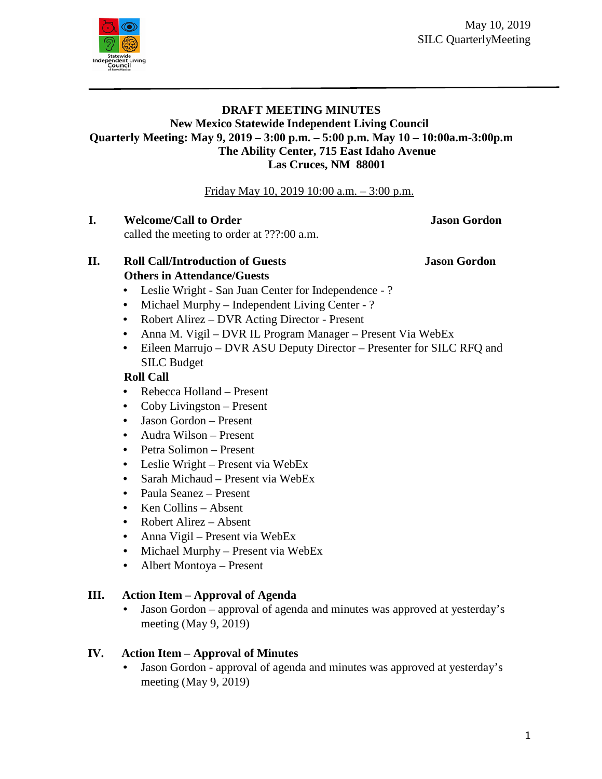May 10, 2019 SILC QuarterlyMeeting



#### **DRAFT MEETING MINUTES New Mexico Statewide Independent Living Council Quarterly Meeting: May 9, 2019 – 3:00 p.m. – 5:00 p.m. May 10 – 10:00a.m-3:00p.m The Ability Center, 715 East Idaho Avenue Las Cruces, NM 88001**

#### Friday May 10, 2019 10:00 a.m. – 3:00 p.m.

**I. Welcome/Call to Order <b>Jason** Screen **Jason** Gordon

called the meeting to order at ???:00 a.m.

#### **II. Roll Call/Introduction of Guests Jason Gordon Others in Attendance/Guests**

- 
- Leslie Wright San Juan Center for Independence ?
- Michael Murphy Independent Living Center ?
- Robert Alirez DVR Acting Director Present
- Anna M. Vigil DVR IL Program Manager Present Via WebEx
- Eileen Marrujo DVR ASU Deputy Director Presenter for SILC RFQ and SILC Budget

## **Roll Call**

- Rebecca Holland Present
- Coby Livingston Present
- Jason Gordon Present
- Audra Wilson Present
- Petra Solimon Present
- Leslie Wright Present via WebEx
- Sarah Michaud Present via WebEx
- Paula Seanez Present
- Ken Collins Absent
- Robert Alirez Absent
- Anna Vigil Present via WebEx
- Michael Murphy Present via WebEx
- Albert Montoya Present

# **III. Action Item – Approval of Agenda**

• Jason Gordon – approval of agenda and minutes was approved at yesterday's meeting (May 9, 2019)

# **IV. Action Item – Approval of Minutes**

• Jason Gordon - approval of agenda and minutes was approved at yesterday's meeting (May 9, 2019)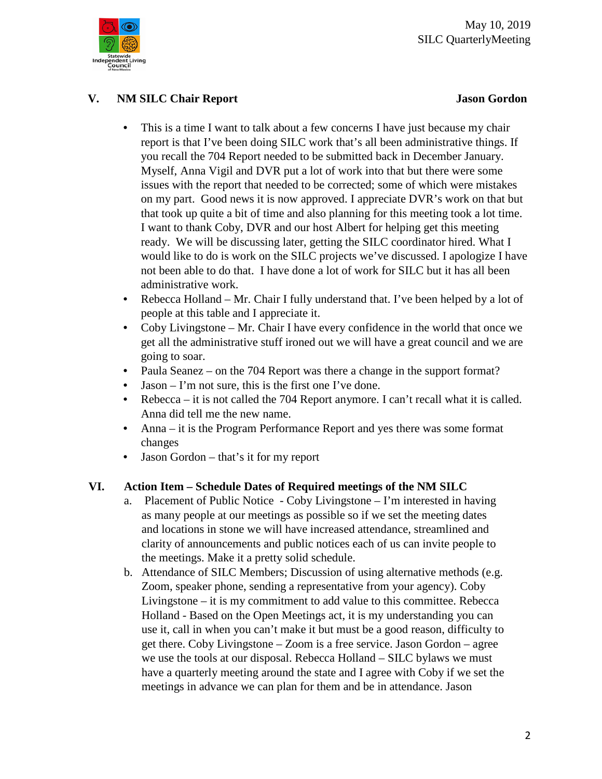

## **V. NM SILC Chair Report Jason Gordon**

- This is a time I want to talk about a few concerns I have just because my chair report is that I've been doing SILC work that's all been administrative things. If you recall the 704 Report needed to be submitted back in December January. Myself, Anna Vigil and DVR put a lot of work into that but there were some issues with the report that needed to be corrected; some of which were mistakes on my part. Good news it is now approved. I appreciate DVR's work on that but that took up quite a bit of time and also planning for this meeting took a lot time. I want to thank Coby, DVR and our host Albert for helping get this meeting ready. We will be discussing later, getting the SILC coordinator hired. What I would like to do is work on the SILC projects we've discussed. I apologize I have not been able to do that. I have done a lot of work for SILC but it has all been administrative work.
- Rebecca Holland Mr. Chair I fully understand that. I've been helped by a lot of people at this table and I appreciate it.
- Coby Livingstone Mr. Chair I have every confidence in the world that once we get all the administrative stuff ironed out we will have a great council and we are going to soar.
- Paula Seanez on the 704 Report was there a change in the support format?
- Jason I'm not sure, this is the first one I've done.
- Rebecca it is not called the 704 Report anymore. I can't recall what it is called. Anna did tell me the new name.
- Anna it is the Program Performance Report and yes there was some format changes
- Jason Gordon that's it for my report

## **VI. Action Item – Schedule Dates of Required meetings of the NM SILC**

- a. Placement of Public Notice Coby Livingstone I'm interested in having as many people at our meetings as possible so if we set the meeting dates and locations in stone we will have increased attendance, streamlined and clarity of announcements and public notices each of us can invite people to the meetings. Make it a pretty solid schedule.
- b. Attendance of SILC Members; Discussion of using alternative methods (e.g. Zoom, speaker phone, sending a representative from your agency). Coby Livingstone – it is my commitment to add value to this committee. Rebecca Holland - Based on the Open Meetings act, it is my understanding you can use it, call in when you can't make it but must be a good reason, difficulty to get there. Coby Livingstone – Zoom is a free service. Jason Gordon – agree we use the tools at our disposal. Rebecca Holland – SILC bylaws we must have a quarterly meeting around the state and I agree with Coby if we set the meetings in advance we can plan for them and be in attendance. Jason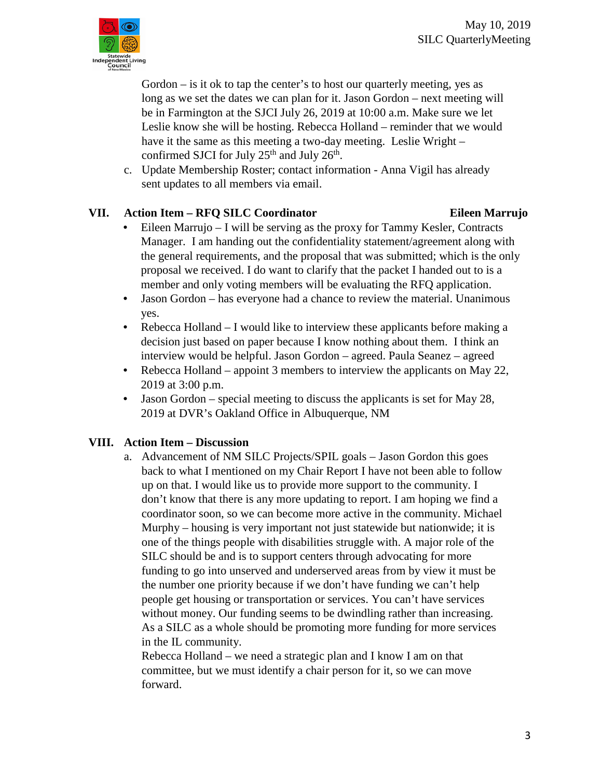

Gordon – is it ok to tap the center's to host our quarterly meeting, yes as long as we set the dates we can plan for it. Jason Gordon – next meeting will be in Farmington at the SJCI July 26, 2019 at 10:00 a.m. Make sure we let Leslie know she will be hosting. Rebecca Holland – reminder that we would have it the same as this meeting a two-day meeting. Leslie Wright – confirmed SJCI for July 25<sup>th</sup> and July 26<sup>th</sup>.

c. Update Membership Roster; contact information - Anna Vigil has already sent updates to all members via email.

# **VII. Action Item – RFQ SILC Coordinator Eileen Marrujo**

- Eileen Marrujo I will be serving as the proxy for Tammy Kesler, Contracts Manager. I am handing out the confidentiality statement/agreement along with the general requirements, and the proposal that was submitted; which is the only proposal we received. I do want to clarify that the packet I handed out to is a member and only voting members will be evaluating the RFQ application.
- Jason Gordon has everyone had a chance to review the material. Unanimous yes.
- Rebecca Holland I would like to interview these applicants before making a decision just based on paper because I know nothing about them. I think an interview would be helpful. Jason Gordon – agreed. Paula Seanez – agreed
- Rebecca Holland appoint 3 members to interview the applicants on May 22, 2019 at 3:00 p.m.
- Jason Gordon special meeting to discuss the applicants is set for May 28, 2019 at DVR's Oakland Office in Albuquerque, NM

# **VIII. Action Item – Discussion**

a. Advancement of NM SILC Projects/SPIL goals – Jason Gordon this goes back to what I mentioned on my Chair Report I have not been able to follow up on that. I would like us to provide more support to the community. I don't know that there is any more updating to report. I am hoping we find a coordinator soon, so we can become more active in the community. Michael Murphy – housing is very important not just statewide but nationwide; it is one of the things people with disabilities struggle with. A major role of the SILC should be and is to support centers through advocating for more funding to go into unserved and underserved areas from by view it must be the number one priority because if we don't have funding we can't help people get housing or transportation or services. You can't have services without money. Our funding seems to be dwindling rather than increasing. As a SILC as a whole should be promoting more funding for more services in the IL community.

Rebecca Holland – we need a strategic plan and I know I am on that committee, but we must identify a chair person for it, so we can move forward.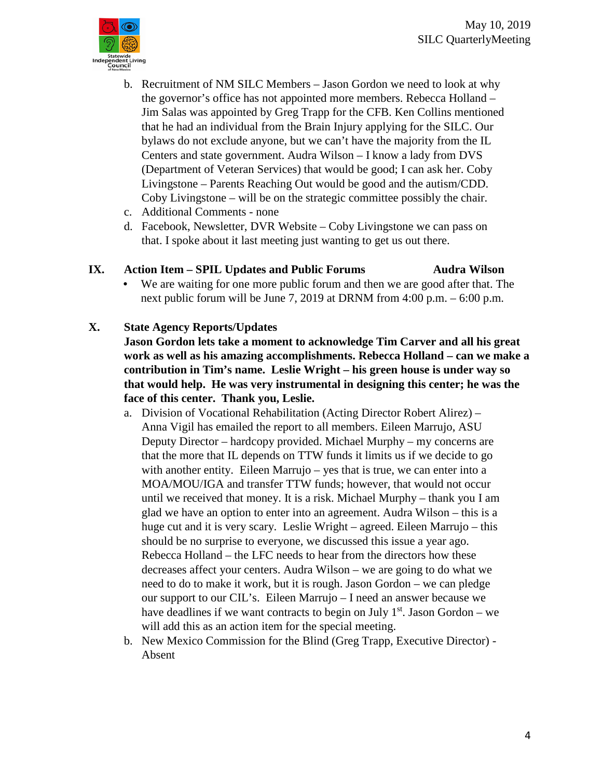

- b. Recruitment of NM SILC Members Jason Gordon we need to look at why the governor's office has not appointed more members. Rebecca Holland – Jim Salas was appointed by Greg Trapp for the CFB. Ken Collins mentioned that he had an individual from the Brain Injury applying for the SILC. Our bylaws do not exclude anyone, but we can't have the majority from the IL Centers and state government. Audra Wilson – I know a lady from DVS (Department of Veteran Services) that would be good; I can ask her. Coby Livingstone – Parents Reaching Out would be good and the autism/CDD. Coby Livingstone – will be on the strategic committee possibly the chair.
- c. Additional Comments none
- d. Facebook, Newsletter, DVR Website Coby Livingstone we can pass on that. I spoke about it last meeting just wanting to get us out there.

## **IX. Action Item – SPIL Updates and Public Forums Audra Wilson**

• We are waiting for one more public forum and then we are good after that. The next public forum will be June 7, 2019 at DRNM from 4:00 p.m. – 6:00 p.m.

#### **X. State Agency Reports/Updates**

**Jason Gordon lets take a moment to acknowledge Tim Carver and all his great work as well as his amazing accomplishments. Rebecca Holland – can we make a contribution in Tim's name. Leslie Wright – his green house is under way so that would help. He was very instrumental in designing this center; he was the face of this center. Thank you, Leslie.**

- a. Division of Vocational Rehabilitation (Acting Director Robert Alirez) Anna Vigil has emailed the report to all members. Eileen Marrujo, ASU Deputy Director – hardcopy provided. Michael Murphy – my concerns are that the more that IL depends on TTW funds it limits us if we decide to go with another entity. Eileen Marrujo – yes that is true, we can enter into a MOA/MOU/IGA and transfer TTW funds; however, that would not occur until we received that money. It is a risk. Michael Murphy – thank you I am glad we have an option to enter into an agreement. Audra Wilson – this is a huge cut and it is very scary. Leslie Wright – agreed. Eileen Marrujo – this should be no surprise to everyone, we discussed this issue a year ago. Rebecca Holland – the LFC needs to hear from the directors how these decreases affect your centers. Audra Wilson – we are going to do what we need to do to make it work, but it is rough. Jason Gordon – we can pledge our support to our CIL's. Eileen Marrujo – I need an answer because we have deadlines if we want contracts to begin on July  $1<sup>st</sup>$ . Jason Gordon – we will add this as an action item for the special meeting.
- b. New Mexico Commission for the Blind (Greg Trapp, Executive Director) Absent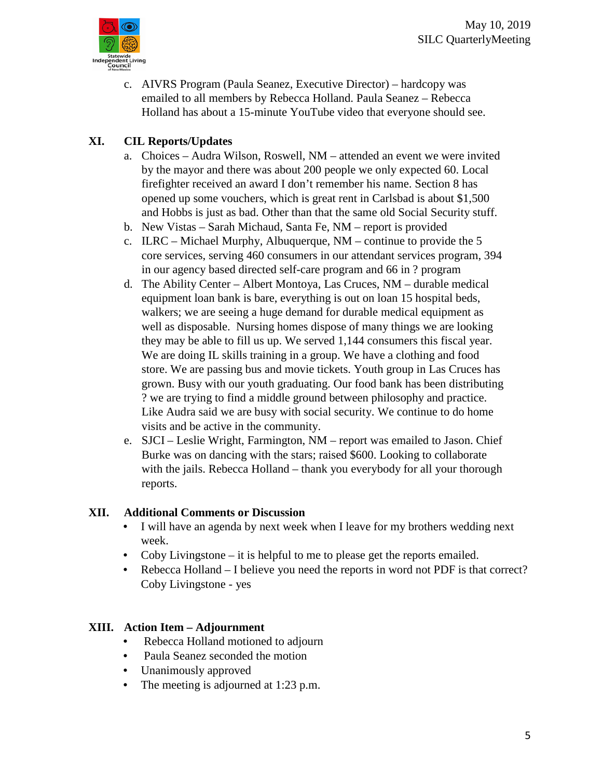

c. AIVRS Program (Paula Seanez, Executive Director) – hardcopy was emailed to all members by Rebecca Holland. Paula Seanez – Rebecca Holland has about a 15-minute YouTube video that everyone should see.

# **XI. CIL Reports/Updates**

- a. Choices Audra Wilson, Roswell, NM attended an event we were invited by the mayor and there was about 200 people we only expected 60. Local firefighter received an award I don't remember his name. Section 8 has opened up some vouchers, which is great rent in Carlsbad is about \$1,500 and Hobbs is just as bad. Other than that the same old Social Security stuff.
- b. New Vistas Sarah Michaud, Santa Fe, NM report is provided
- c. ILRC Michael Murphy, Albuquerque, NM continue to provide the 5 core services, serving 460 consumers in our attendant services program, 394 in our agency based directed self-care program and 66 in ? program
- d. The Ability Center Albert Montoya, Las Cruces, NM durable medical equipment loan bank is bare, everything is out on loan 15 hospital beds, walkers; we are seeing a huge demand for durable medical equipment as well as disposable. Nursing homes dispose of many things we are looking they may be able to fill us up. We served 1,144 consumers this fiscal year. We are doing IL skills training in a group. We have a clothing and food store. We are passing bus and movie tickets. Youth group in Las Cruces has grown. Busy with our youth graduating. Our food bank has been distributing ? we are trying to find a middle ground between philosophy and practice. Like Audra said we are busy with social security. We continue to do home visits and be active in the community.
- e. SJCI Leslie Wright, Farmington, NM report was emailed to Jason. Chief Burke was on dancing with the stars; raised \$600. Looking to collaborate with the jails. Rebecca Holland – thank you everybody for all your thorough reports.

## **XII. Additional Comments or Discussion**

- I will have an agenda by next week when I leave for my brothers wedding next week.
- Coby Livingstone it is helpful to me to please get the reports emailed.
- Rebecca Holland I believe you need the reports in word not PDF is that correct? Coby Livingstone - yes

## **XIII. Action Item – Adjournment**

- Rebecca Holland motioned to adjourn
- Paula Seanez seconded the motion
- Unanimously approved
- The meeting is adjourned at 1:23 p.m.